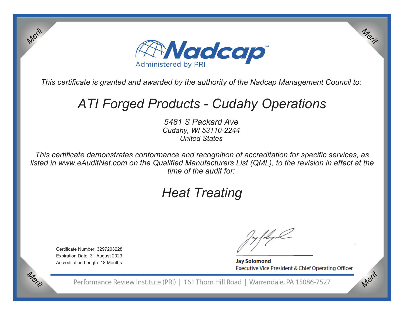

*This certificate is granted and awarded by the authority of the Nadcap Management Council to:*

# *ATI Forged Products - Cudahy Operations*

*5481 S Packard Ave Cudahy, WI 53110-2244 United States*

*This certificate demonstrates conformance and recognition of accreditation for specific services, as listed in www.eAuditNet.com on the Qualified Manufacturers List (QML), to the revision in effect at the time of the audit for:*

## *Heat Treating*

Certificate Number: 3297203228 Expiration Date: 31 August 2023 Accreditation Length: 18 Months

Merit

Merit

**Jay Solomond** Executive Vice President & Chief Operating Officer Merit

Merit

Performance Review Institute (PRI) | 161 Thorn Hill Road | Warrendale, PA 15086-7527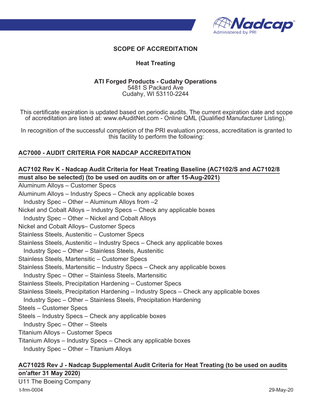

## **SCOPE OF ACCREDITATION**

### **Heat Treating**

#### **ATI Forged Products - Cudahy Operations** 5481 S Packard Ave Cudahy, WI 53110-2244

This certificate expiration is updated based on periodic audits. The current expiration date and scope of accreditation are listed at: www.eAuditNet.com - Online QML (Qualified Manufacturer Listing).

In recognition of the successful completion of the PRI evaluation process, accreditation is granted to this facility to perform the following:

## **AC7000 - AUDIT CRITERIA FOR NADCAP ACCREDITATION**

## **AC7102 Rev K - Nadcap Audit Criteria for Heat Treating Baseline (AC7102/S and AC7102/8 must also be selected) (to be used on audits on or after 15-Aug-2021)**

Aluminum Alloys – Customer Specs Aluminum Alloys – Industry Specs – Check any applicable boxes Industry Spec – Other – Aluminum Alloys from –2 Nickel and Cobalt Alloys – Industry Specs – Check any applicable boxes Industry Spec – Other – Nickel and Cobalt Alloys Nickel and Cobalt Alloys– Customer Specs Stainless Steels, Austenitic – Customer Specs Stainless Steels, Austenitic – Industry Specs – Check any applicable boxes Industry Spec – Other – Stainless Steels, Austenitic Stainless Steels, Martensitic – Customer Specs Stainless Steels, Martensitic – Industry Specs – Check any applicable boxes Industry Spec – Other – Stainless Steels, Martensitic Stainless Steels, Precipitation Hardening – Customer Specs Stainless Steels, Precipitation Hardening – Industry Specs – Check any applicable boxes Industry Spec – Other – Stainless Steels, Precipitation Hardening Steels – Customer Specs Steels – Industry Specs – Check any applicable boxes Industry Spec – Other – Steels Titanium Alloys – Customer Specs Titanium Alloys – Industry Specs – Check any applicable boxes Industry Spec – Other – Titanium Alloys

## **AC7102S Rev J - Nadcap Supplemental Audit Criteria for Heat Treating (to be used on audits on'after 31 May 2020)**

U11 The Boeing Company t-frm-0004 29-May-20